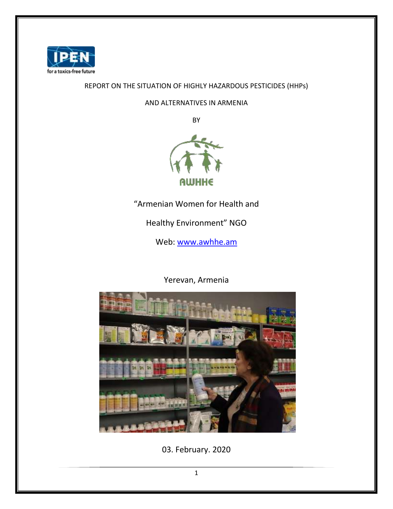

## REPORT ON THE SITUATION OF HIGHLY HAZARDOUS PESTICIDES (HHPs)

AND ALTERNATIVES IN ARMENIA

BY



"Armenian Women for Health and

Healthy Environment" NGO

Web: [www.awhhe.am](http://www.awhhe.am/)

Yerevan, Armenia



03. February. 2020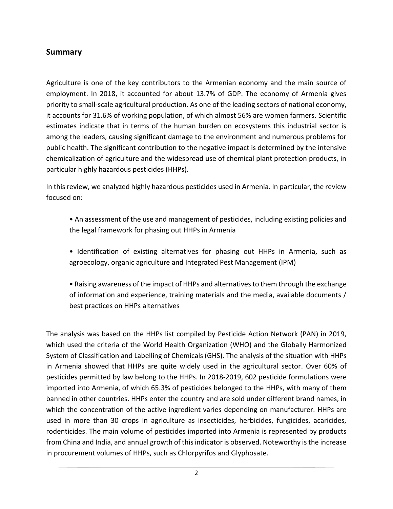## **Summary**

Agriculture is one of the key contributors to the Armenian economy and the main source of employment. In 2018, it accounted for about 13.7% of GDP. The economy of Armenia gives priority to small-scale agricultural production. As one of the leading sectors of national economy, it accounts for 31.6% of working population, of which almost 56% are women farmers. Scientific estimates indicate that in terms of the human burden on ecosystems this industrial sector is among the leaders, causing significant damage to the environment and numerous problems for public health. The significant contribution to the negative impact is determined by the intensive chemicalization of agriculture and the widespread use of chemical plant protection products, in particular highly hazardous pesticides (HHPs).

In this review, we analyzed highly hazardous pesticides used in Armenia. In particular, the review focused on:

- An assessment of the use and management of pesticides, including existing policies and the legal framework for phasing out HHPs in Armenia
- Identification of existing alternatives for phasing out HHPs in Armenia, such as agroecology, organic agriculture and Integrated Pest Management (IPM)
- Raising awareness of the impact of HHPs and alternatives to them through the exchange of information and experience, training materials and the media, available documents / best practices on HHPs alternatives

The analysis was based on the HHPs list compiled by Pesticide Action Network (PAN) in 2019, which used the criteria of the World Health Organization (WHO) and the Globally Harmonized System of Classification and Labelling of Chemicals (GHS). The analysis of the situation with HHPs in Armenia showed that HHPs are quite widely used in the agricultural sector. Over 60% of pesticides permitted by law belong to the HHPs. In 2018-2019, 602 pesticide formulations were imported into Armenia, of which 65.3% of pesticides belonged to the HHPs, with many of them banned in other countries. HHPs enter the country and are sold under different brand names, in which the concentration of the active ingredient varies depending on manufacturer. HHPs are used in more than 30 crops in agriculture as insecticides, herbicides, fungicides, acaricides, rodenticides. The main volume of pesticides imported into Armenia is represented by products from China and India, and annual growth of this indicator is observed. Noteworthy is the increase in procurement volumes of HHPs, such as Chlorpyrifos and Glyphosate.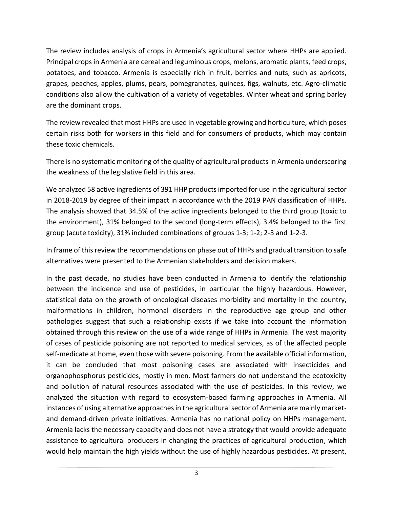The review includes analysis of crops in Armenia's agricultural sector where HHPs are applied. Principal crops in Armenia are cereal and leguminous crops, melons, aromatic plants, feed crops, potatoes, and tobacco. Armenia is especially rich in fruit, berries and nuts, such as apricots, grapes, peaches, apples, plums, pears, pomegranates, quinces, figs, walnuts, etc. Agro-climatic conditions also allow the cultivation of a variety of vegetables. Winter wheat and spring barley are the dominant crops.

The review revealed that most HHPs are used in vegetable growing and horticulture, which poses certain risks both for workers in this field and for consumers of products, which may contain these toxic chemicals.

There is no systematic monitoring of the quality of agricultural products in Armenia underscoring the weakness of the legislative field in this area.

We analyzed 58 active ingredients of 391 HHP products imported for use in the agricultural sector in 2018-2019 by degree of their impact in accordance with the 2019 PAN classification of HHPs. The analysis showed that 34.5% of the active ingredients belonged to the third group (toxic to the environment), 31% belonged to the second (long-term effects), 3.4% belonged to the first group (acute toxicity), 31% included combinations of groups 1-3; 1-2; 2-3 and 1-2-3.

In frame of this review the recommendations on phase out of HHPs and gradual transition to safe alternatives were presented to the Armenian stakeholders and decision makers.

In the past decade, no studies have been conducted in Armenia to identify the relationship between the incidence and use of pesticides, in particular the highly hazardous. However, statistical data on the growth of oncological diseases morbidity and mortality in the country, malformations in children, hormonal disorders in the reproductive age group and other pathologies suggest that such a relationship exists if we take into account the information obtained through this review on the use of a wide range of HHPs in Armenia. The vast majority of cases of pesticide poisoning are not reported to medical services, as of the affected people self-medicate at home, even those with severe poisoning. From the available official information, it can be concluded that most poisoning cases are associated with insecticides and organophosphorus pesticides, mostly in men. Most farmers do not understand the ecotoxicity and pollution of natural resources associated with the use of pesticides. In this review, we analyzed the situation with regard to ecosystem-based farming approaches in Armenia. All instances of using alternative approaches in the agricultural sector of Armenia are mainly marketand demand-driven private initiatives. Armenia has no national policy on HHPs management. Armenia lacks the necessary capacity and does not have a strategy that would provide adequate assistance to agricultural producers in changing the practices of agricultural production, which would help maintain the high yields without the use of highly hazardous pesticides. At present,